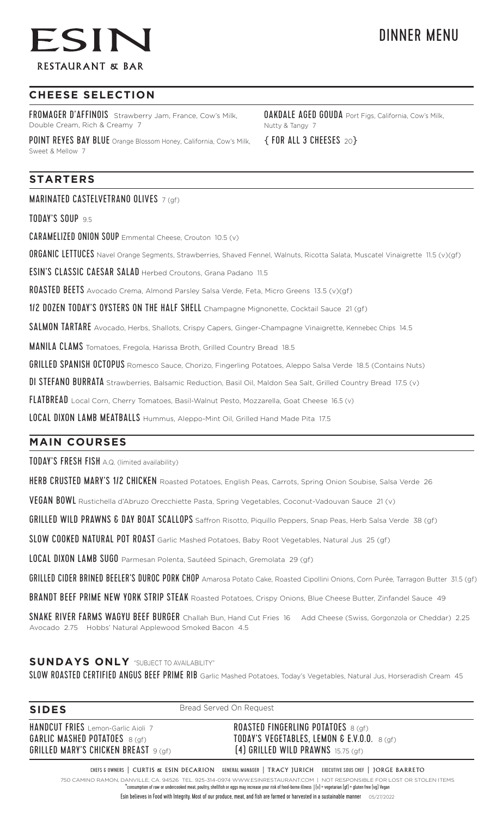# ESIN **RESTAURANT & BAR**

## **CHEESE SELECTION**

FROMAGER D'AFFINOIS Strawberry Jam, France, Cow's Milk, Double Cream, Rich & Creamy 7

POINT REYES BAY BLUE Orange Blossom Honey, California, Cow's Milk, Sweet & Mellow 7

## **STARTERS**

MARINATED CASTELVETRANO OLIVES 7 (gf)

TODAY'S SOUP 9.5

CARAMELIZED ONION SOUP Emmental Cheese, Crouton 10.5 (v)

ORGANIC LETTUCES Navel Orange Segments, Strawberries, Shaved Fennel, Walnuts, Ricotta Salata, Muscatel Vinaigrette 11.5 (v)(gf)

ESIN'S CLASSIC CAESAR SALAD Herbed Croutons, Grana Padano 11.5

ROASTED BEETS Avocado Crema, Almond Parsley Salsa Verde, Feta, Micro Greens 13.5 (v)(gf)

1/2 DOZEN TODAY'S OYSTERS ON THE HALF SHELL Champagne Mignonette, Cocktail Sauce 21 (gf)

SALMON TARTARE Avocado, Herbs, Shallots, Crispy Capers, Ginger-Champagne Vinaigrette, Kennebec Chips 14.5

MANILA CLAMS Tomatoes, Fregola, Harissa Broth, Grilled Country Bread 18.5

GRILLED SPANISH OCTOPUS Romesco Sauce, Chorizo, Fingerling Potatoes, Aleppo Salsa Verde 18.5 (Contains Nuts)

DI STEFANO BURRATA Strawberries, Balsamic Reduction, Basil Oil, Maldon Sea Salt, Grilled Country Bread 17.5 (v)

FLATBREAD Local Corn, Cherry Tomatoes, Basil-Walnut Pesto, Mozzarella, Goat Cheese 16.5 (v)

LOCAL DIXON LAMB MEATBALLS Hummus, Aleppo-Mint Oil, Grilled Hand Made Pita 17.5

### **MAIN COURSES**

TODAY'S FRESH FISH A.Q. (limited availability)

HERB CRUSTED MARY'S 1/2 CHICKEN Roasted Potatoes, English Peas, Carrots, Spring Onion Soubise, Salsa Verde 26

VEGAN BOWL Rustichella d'Abruzo Orecchiette Pasta, Spring Vegetables, Coconut-Vadouvan Sauce 21 (v)

**GRILLED WILD PRAWNS & DAY BOAT SCALLOPS** Saffron Risotto, Piquillo Peppers, Snap Peas, Herb Salsa Verde 38 (gf)

SLOW COOKED NATURAL POT ROAST Garlic Mashed Potatoes, Baby Root Vegetables, Natural Jus 25 (gf)

LOCAL DIXON LAMB SUGO Parmesan Polenta, Sautéed Spinach, Gremolata 29 (gf)

GRILLED CIDER BRINED BEELER'S DUROC PORK CHOP Amarosa Potato Cake, Roasted Cipollini Onions, Corn Purée, Tarragon Butter 31.5 (gf)

BRANDT BEEF PRIME NEW YORK STRIP STEAK Roasted Potatoes, Crispy Onions, Blue Cheese Butter, Zinfandel Sauce 49

SNAKE RIVER FARMS WAGYU BEEF BURGER Challah Bun, Hand Cut Fries 16 Add Cheese (Swiss, Gorgonzola or Cheddar) 2.25 Avocado 2.75 Hobbs' Natural Applewood Smoked Bacon 4.5

## **SUNDAYS ONLY** "SUBJECT TO AVAILABILITY"

SLOW ROASTED CERTIFIED ANGUS BEEF PRIME RIB Garlic Mashed Potatoes, Today's Vegetables, Natural Jus, Horseradish Cream 45

| <b>SIDES</b>                                                                                                              | Bread Served On Request                                                                                                           |  |  |
|---------------------------------------------------------------------------------------------------------------------------|-----------------------------------------------------------------------------------------------------------------------------------|--|--|
| HANDCUT FRIES Lemon-Garlic Aioli 7<br><b>GARLIC MASHED POTATOES</b> 8 (qf)<br><b>GRILLED MARY'S CHICKEN BREAST</b> 9 (qf) | <b>ROASTED FINGERLING POTATOES</b> 8 (gf)<br>TODAY'S VEGETABLES, LEMON & E.V.O.O. $8(9f)$<br>$(4)$ GRILLED WILD PRAWNS 15.75 (gf) |  |  |
|                                                                                                                           |                                                                                                                                   |  |  |

CHEFS & OWNERS | CURTIS & ESIN DECARION GENERAL MANAGER | TRACY JURICH EXECUTIVE SOUS CHEF | JORGE BARRETO 750 CAMINO RAMON, DANVILLE, CA. 94526 TEL. 925-314-0974 WWW.ESINRESTAURANT.COM | NOT RESPONSIBLE FOR LOST OR STOLEN ITEMS \*consumption of raw or undercooked meat, poultry, shellfish or eggs may increase your risk of food-borne illness | (v) = vegetarian (gf) = gluten free (vg) Vegan Esin believes in Food with Integrity. Most of our produce, meat, and fish are farmed or harvested in a sustainable manner 05/27/2022

OAKDALE AGED GOUDA Port Figs, California, Cow's Milk, Nutty & Tangy 7

{ FOR ALL 3 CHEESES<sup>20</sup>}